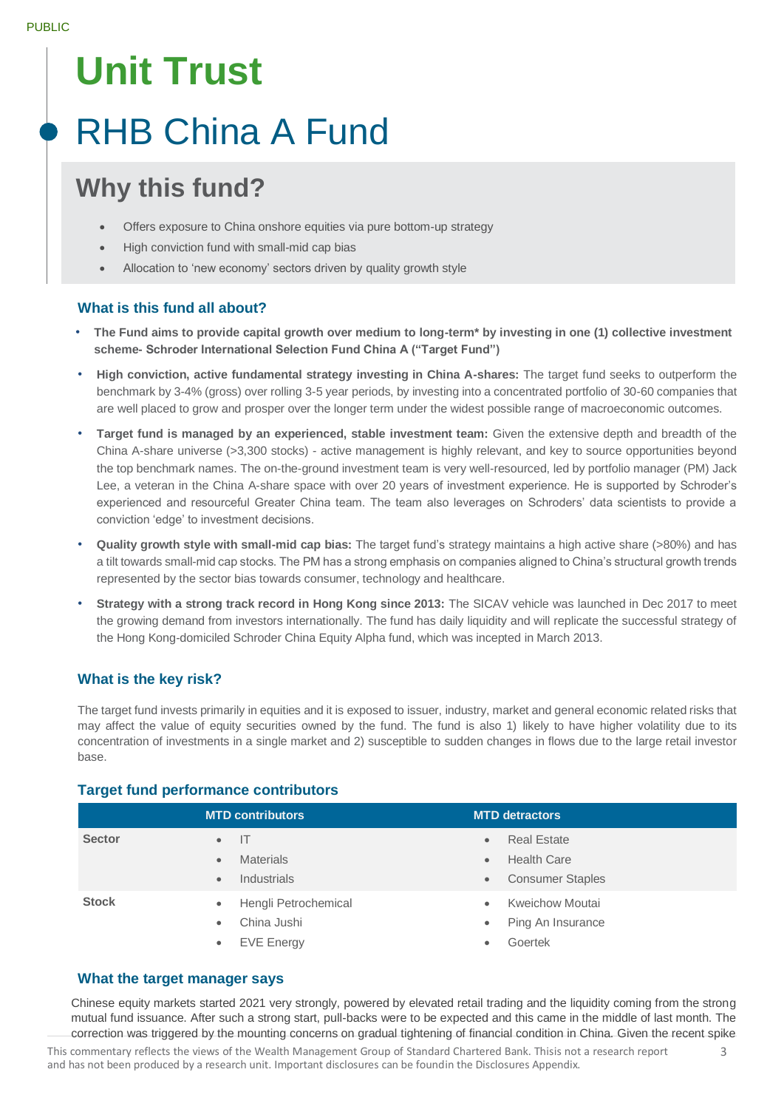# **Unit Trust**

# RHB China A Fund

# **Why this fund?**

- Offers exposure to China onshore equities via pure bottom-up strategy
- High conviction fund with small-mid cap bias
- Allocation to 'new economy' sectors driven by quality growth style

# **What is this fund all about?**

- **The Fund aims to provide capital growth over medium to long-term\* by investing in one (1) collective investment scheme- Schroder International Selection Fund China A ("Target Fund")**
- **High conviction, active fundamental strategy investing in China A-shares:** The target fund seeks to outperform the benchmark by 3-4% (gross) over rolling 3-5 year periods, by investing into a concentrated portfolio of 30-60 companies that are well placed to grow and prosper over the longer term under the widest possible range of macroeconomic outcomes.
- **Target fund is managed by an experienced, stable investment team:** Given the extensive depth and breadth of the China A-share universe (>3,300 stocks) - active management is highly relevant, and key to source opportunities beyond the top benchmark names. The on-the-ground investment team is very well-resourced, led by portfolio manager (PM) Jack Lee, a veteran in the China A-share space with over 20 years of investment experience. He is supported by Schroder's experienced and resourceful Greater China team. The team also leverages on Schroders' data scientists to provide a conviction 'edge' to investment decisions.
- **Quality growth style with small-mid cap bias:** The target fund's strategy maintains a high active share (>80%) and has a tilt towards small-mid cap stocks. The PM has a strong emphasis on companies aligned to China's structural growth trends represented by the sector bias towards consumer, technology and healthcare.
- **Strategy with a strong track record in Hong Kong since 2013:** The SICAV vehicle was launched in Dec 2017 to meet the growing demand from investors internationally. The fund has daily liquidity and will replicate the successful strategy of the Hong Kong-domiciled Schroder China Equity Alpha fund, which was incepted in March 2013.

# **What is the key risk?**

The target fund invests primarily in equities and it is exposed to issuer, industry, market and general economic related risks that may affect the value of equity securities owned by the fund. The fund is also 1) likely to have higher volatility due to its concentration of investments in a single market and 2) susceptible to sudden changes in flows due to the large retail investor base.

# **Target fund performance contributors**

|               | <b>MTD contributors</b>           | <b>MTD detractors</b>                |
|---------------|-----------------------------------|--------------------------------------|
| <b>Sector</b> | Æ<br>$\bullet$                    | <b>Real Estate</b><br>$\bullet$      |
|               | <b>Materials</b><br>$\bullet$     | <b>Health Care</b><br>$\bullet$      |
|               | <b>Industrials</b><br>$\bullet$   | <b>Consumer Staples</b><br>$\bullet$ |
| <b>Stock</b>  | Hengli Petrochemical<br>$\bullet$ | <b>Kweichow Moutai</b><br>$\bullet$  |
|               | China Jushi<br>$\bullet$          | Ping An Insurance<br>$\bullet$       |
|               | <b>EVE Energy</b><br>$\bullet$    | Goertek<br>$\bullet$                 |

### **What the target manager says**

Chinese equity markets started 2021 very strongly, powered by elevated retail trading and the liquidity coming from the strong mutual fund issuance. After such a strong start, pull-backs were to be expected and this came in the middle of last month. The correction was triggered by the mounting concerns on gradual tightening of financial condition in China. Given the recent spike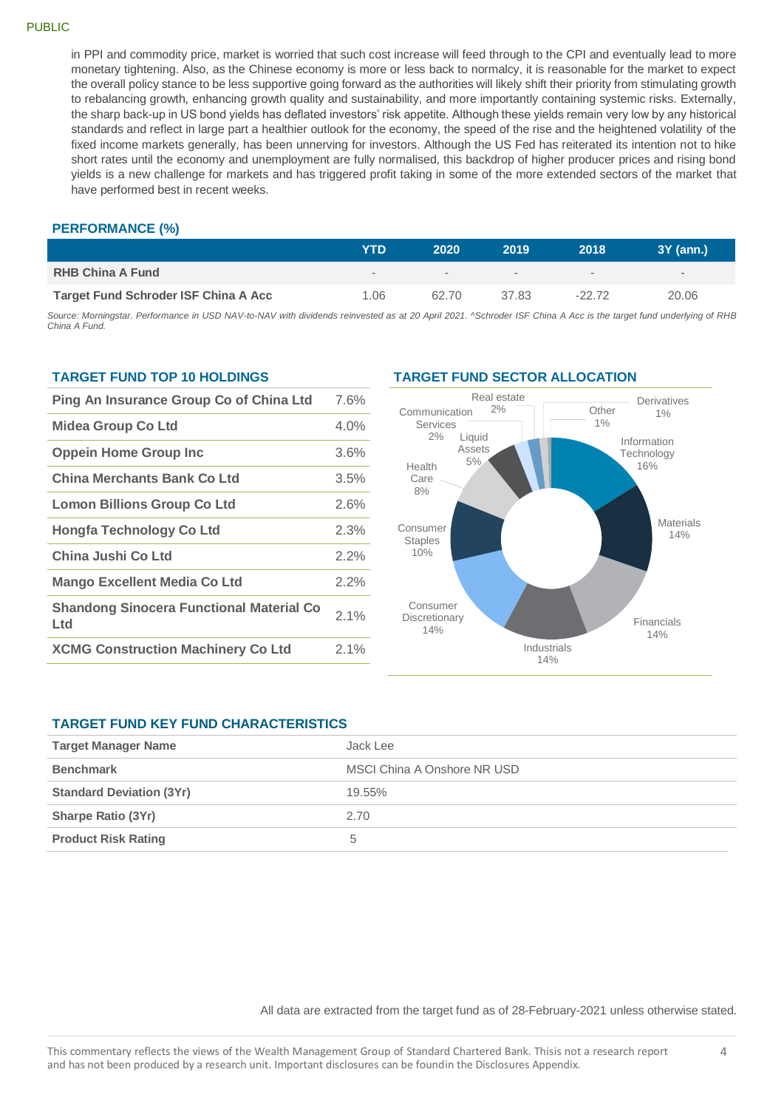#### PUBLIC

in PPI and commodity price, market is worried that such cost increase will feed through to the CPI and eventually lead to more monetary tightening. Also, as the Chinese economy is more or less back to normalcy, it is reasonable for the market to expect the overall policy stance to be less supportive going forward as the authorities will likely shift their priority from stimulating growth to rebalancing growth, enhancing growth quality and sustainability, and more importantly containing systemic risks. Externally, the sharp back-up in US bond yields has deflated investors' risk appetite. Although these yields remain very low by any historical standards and reflect in large part a healthier outlook for the economy, the speed of the rise and the heightened volatility of the fixed income markets generally, has been unnerving for investors. Although the US Fed has reiterated its intention not to hike short rates until the economy and unemployment are fully normalised, this backdrop of higher producer prices and rising bond yields is a new challenge for markets and has triggered profit taking in some of the more extended sectors of the market that have performed best in recent weeks.

#### **PERFORMANCE (%)**

|                                             | YTD                      | 2020   | 2019   | 2018    | $3Y$ (ann.) |
|---------------------------------------------|--------------------------|--------|--------|---------|-------------|
| <b>RHB China A Fund</b>                     | $\overline{\phantom{a}}$ | $\sim$ | $\sim$ | $\sim$  | $\sim$      |
| <b>Target Fund Schroder ISF China A Acc</b> | 1.06                     | 62.70  | 37.83  | $-2272$ | 20.06       |

*Source: Morningstar. Performance in USD NAV-to-NAV with dividends reinvested as at 20 April 2021. ^Schroder ISF China A Acc is the target fund underlying of RHB China A Fund.*

#### **TARGET FUND TOP 10 HOLDINGS**

| Ping An Insurance Group Co of China Ltd                |         |  |
|--------------------------------------------------------|---------|--|
| <b>Midea Group Co Ltd</b>                              | 4.0%    |  |
| <b>Oppein Home Group Inc</b>                           | 3.6%    |  |
| China Merchants Bank Co Ltd                            | 3.5%    |  |
| <b>Lomon Billions Group Co Ltd</b>                     | 2.6%    |  |
| <b>Hongfa Technology Co Ltd</b>                        | 2.3%    |  |
| China Jushi Co Ltd                                     | $2.2\%$ |  |
| <b>Mango Excellent Media Co Ltd</b>                    | 2.2%    |  |
| <b>Shandong Sinocera Functional Material Co</b><br>Ltd | $2.1\%$ |  |
| <b>XCMG Construction Machinery Co Ltd</b>              | 2.1%    |  |

#### **TARGET FUND SECTOR ALLOCATION**



#### **TARGET FUND KEY FUND CHARACTERISTICS**

| <b>Target Manager Name</b>      | Jack Lee                    |
|---------------------------------|-----------------------------|
| <b>Benchmark</b>                | MSCI China A Onshore NR USD |
| <b>Standard Deviation (3Yr)</b> | 19.55%                      |
| <b>Sharpe Ratio (3Yr)</b>       | 2.70                        |
| <b>Product Risk Rating</b>      | b                           |

All data are extracted from the target fund as of 28-February-2021 unless otherwise stated.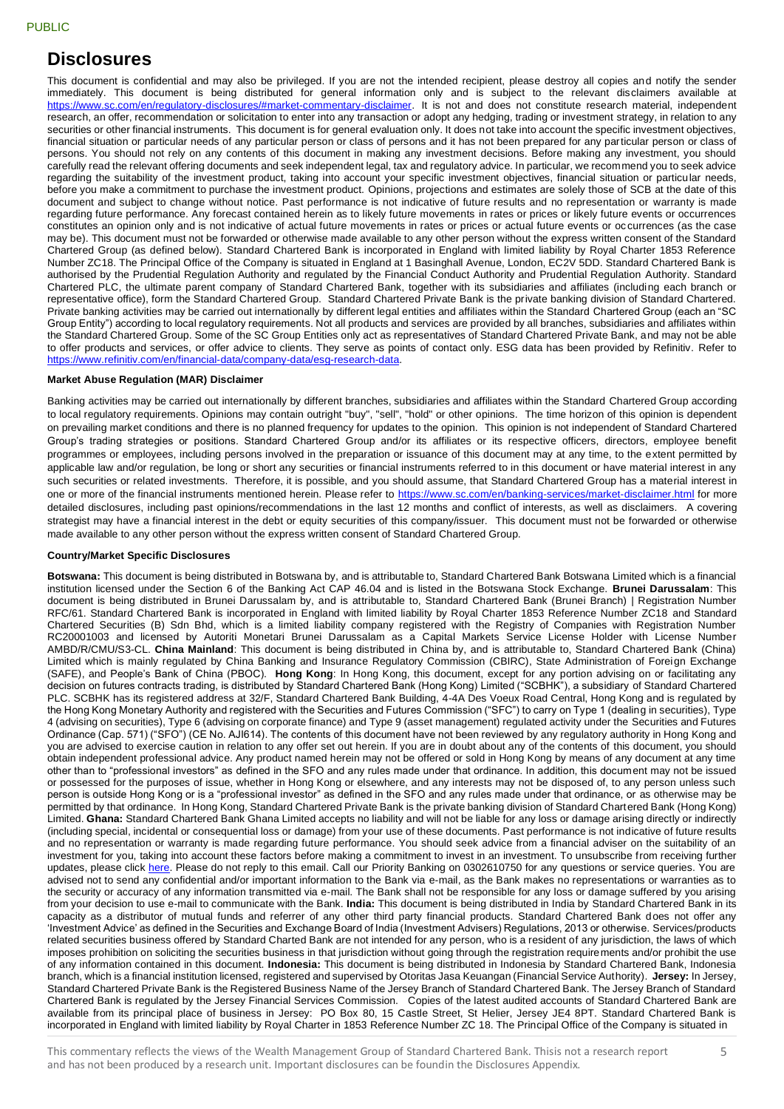# **Disclosures**

This document is confidential and may also be privileged. If you are not the intended recipient, please destroy all copies and notify the sender immediately. This document is being distributed for general information only and is subject to the relevant disclaimers available at [https://www.sc.com/en/regulatory-disclosures/#market-commentary-disclaimer.](https://www.sc.com/en/regulatory-disclosures/#market-commentary-disclaimer) It is not and does not constitute research material, independent research, an offer, recommendation or solicitation to enter into any transaction or adopt any hedging, trading or investment strategy, in relation to any securities or other financial instruments. This document is for general evaluation only. It does not take into account the specific investment objectives, financial situation or particular needs of any particular person or class of persons and it has not been prepared for any particular person or class of persons. You should not rely on any contents of this document in making any investment decisions. Before making any investment, you should carefully read the relevant offering documents and seek independent legal, tax and regulatory advice. In particular, we recommend you to seek advice regarding the suitability of the investment product, taking into account your specific investment objectives, financial situation or particular needs, before you make a commitment to purchase the investment product. Opinions, projections and estimates are solely those of SCB at the date of this document and subject to change without notice. Past performance is not indicative of future results and no representation or warranty is made regarding future performance. Any forecast contained herein as to likely future movements in rates or prices or likely future events or occurrences constitutes an opinion only and is not indicative of actual future movements in rates or prices or actual future events or oc currences (as the case may be). This document must not be forwarded or otherwise made available to any other person without the express written consent of the Standard Chartered Group (as defined below). Standard Chartered Bank is incorporated in England with limited liability by Royal Charter 1853 Reference Number ZC18. The Principal Office of the Company is situated in England at 1 Basinghall Avenue, London, EC2V 5DD. Standard Chartered Bank is authorised by the Prudential Regulation Authority and regulated by the Financial Conduct Authority and Prudential Regulation Authority. Standard Chartered PLC, the ultimate parent company of Standard Chartered Bank, together with its subsidiaries and affiliates (including each branch or representative office), form the Standard Chartered Group. Standard Chartered Private Bank is the private banking division of Standard Chartered. Private banking activities may be carried out internationally by different legal entities and affiliates within the Standard Chartered Group (each an "SC Group Entity") according to local regulatory requirements. Not all products and services are provided by all branches, subsidiaries and affiliates within the Standard Chartered Group. Some of the SC Group Entities only act as representatives of Standard Chartered Private Bank, and may not be able to offer products and services, or offer advice to clients. They serve as points of contact only. ESG data has been provided by Refinitiv. Refer to [https://www.refinitiv.com/en/financial-data/company-data/esg-research-data.](https://www.refinitiv.com/en/financial-data/company-data/esg-research-data)

#### **Market Abuse Regulation (MAR) Disclaimer**

Banking activities may be carried out internationally by different branches, subsidiaries and affiliates within the Standard Chartered Group according to local regulatory requirements. Opinions may contain outright "buy", "sell", "hold" or other opinions. The time horizon of this opinion is dependent on prevailing market conditions and there is no planned frequency for updates to the opinion. This opinion is not independent of Standard Chartered Group's trading strategies or positions. Standard Chartered Group and/or its affiliates or its respective officers, directors, employee benefit programmes or employees, including persons involved in the preparation or issuance of this document may at any time, to the extent permitted by applicable law and/or regulation, be long or short any securities or financial instruments referred to in this document or have material interest in any such securities or related investments. Therefore, it is possible, and you should assume, that Standard Chartered Group has a material interest in one or more of the financial instruments mentioned herein. Please refer to<https://www.sc.com/en/banking-services/market-disclaimer.html> for more detailed disclosures, including past opinions/recommendations in the last 12 months and conflict of interests, as well as disclaimers. A covering strategist may have a financial interest in the debt or equity securities of this company/issuer. This document must not be forwarded or otherwise made available to any other person without the express written consent of Standard Chartered Group.

#### **Country/Market Specific Disclosures**

**Botswana:** This document is being distributed in Botswana by, and is attributable to, Standard Chartered Bank Botswana Limited which is a financial institution licensed under the Section 6 of the Banking Act CAP 46.04 and is listed in the Botswana Stock Exchange. **Brunei Darussalam**: This document is being distributed in Brunei Darussalam by, and is attributable to, Standard Chartered Bank (Brunei Branch) | Registration Number RFC/61. Standard Chartered Bank is incorporated in England with limited liability by Royal Charter 1853 Reference Number ZC18 and Standard Chartered Securities (B) Sdn Bhd, which is a limited liability company registered with the Registry of Companies with Registration Number RC20001003 and licensed by Autoriti Monetari Brunei Darussalam as a Capital Markets Service License Holder with License Number AMBD/R/CMU/S3-CL. **China Mainland**: This document is being distributed in China by, and is attributable to, Standard Chartered Bank (China) Limited which is mainly regulated by China Banking and Insurance Regulatory Commission (CBIRC), State Administration of Foreign Exchange (SAFE), and People's Bank of China (PBOC). **Hong Kong**: In Hong Kong, this document, except for any portion advising on or facilitating any decision on futures contracts trading, is distributed by Standard Chartered Bank (Hong Kong) Limited ("SCBHK"), a subsidiary of Standard Chartered PLC. SCBHK has its registered address at 32/F, Standard Chartered Bank Building, 4-4A Des Voeux Road Central, Hong Kong and is regulated by the Hong Kong Monetary Authority and registered with the Securities and Futures Commission ("SFC") to carry on Type 1 (dealing in securities), Type 4 (advising on securities), Type 6 (advising on corporate finance) and Type 9 (asset management) regulated activity under the Securities and Futures Ordinance (Cap. 571) ("SFO") (CE No. AJI614). The contents of this document have not been reviewed by any regulatory authority in Hong Kong and you are advised to exercise caution in relation to any offer set out herein. If you are in doubt about any of the contents of this document, you should obtain independent professional advice. Any product named herein may not be offered or sold in Hong Kong by means of any document at any time other than to "professional investors" as defined in the SFO and any rules made under that ordinance. In addition, this document may not be issued or possessed for the purposes of issue, whether in Hong Kong or elsewhere, and any interests may not be disposed of, to any person unless such person is outside Hong Kong or is a "professional investor" as defined in the SFO and any rules made under that ordinance, or as otherwise may be permitted by that ordinance. In Hong Kong, Standard Chartered Private Bank is the private banking division of Standard Chartered Bank (Hong Kong) Limited. **Ghana:** Standard Chartered Bank Ghana Limited accepts no liability and will not be liable for any loss or damage arising directly or indirectly (including special, incidental or consequential loss or damage) from your use of these documents. Past performance is not indicative of future results and no representation or warranty is made regarding future performance. You should seek advice from a financial adviser on the suitability of an investment for you, taking into account these factors before making a commitment to invest in an investment. To unsubscribe from receiving further updates, please click [here.](mailto:feedback.ghana@sc.com) Please do not reply to this email. Call our Priority Banking on 0302610750 for any questions or service queries. You are advised not to send any confidential and/or important information to the Bank via e-mail, as the Bank makes no representations or warranties as to the security or accuracy of any information transmitted via e-mail. The Bank shall not be responsible for any loss or damage suffered by you arising from your decision to use e-mail to communicate with the Bank. **India:** This document is being distributed in India by Standard Chartered Bank in its capacity as a distributor of mutual funds and referrer of any other third party financial products. Standard Chartered Bank does not offer any 'Investment Advice' as defined in the Securities and Exchange Board of India (Investment Advisers) Regulations, 2013 or otherwise. Services/products related securities business offered by Standard Charted Bank are not intended for any person, who is a resident of any jurisdiction, the laws of which imposes prohibition on soliciting the securities business in that jurisdiction without going through the registration requirements and/or prohibit the use of any information contained in this document. **Indonesia:** This document is being distributed in Indonesia by Standard Chartered Bank, Indonesia branch, which is a financial institution licensed, registered and supervised by Otoritas Jasa Keuangan (Financial Service Authority). **Jersey:** In Jersey, Standard Chartered Private Bank is the Registered Business Name of the Jersey Branch of Standard Chartered Bank. The Jersey Branch of Standard Chartered Bank is regulated by the Jersey Financial Services Commission. Copies of the latest audited accounts of Standard Chartered Bank are available from its principal place of business in Jersey: PO Box 80, 15 Castle Street, St Helier, Jersey JE4 8PT. Standard Chartered Bank is incorporated in England with limited liability by Royal Charter in 1853 Reference Number ZC 18. The Principal Office of the Company is situated in